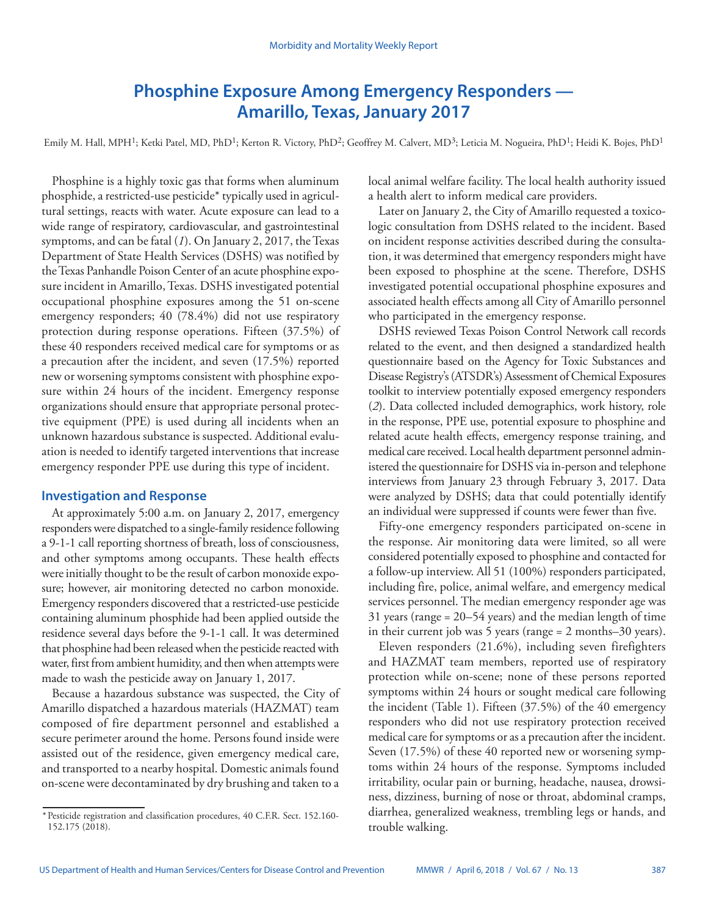# **Phosphine Exposure Among Emergency Responders — Amarillo, Texas, January 2017**

Emily M. Hall, MPH<sup>1</sup>; Ketki Patel, MD, PhD<sup>1</sup>; Kerton R. Victory, PhD<sup>2</sup>; Geoffrey M. Calvert, MD<sup>3</sup>; Leticia M. Nogueira, PhD<sup>1</sup>; Heidi K. Bojes, PhD<sup>1</sup>

Phosphine is a highly toxic gas that forms when aluminum phosphide, a restricted-use pesticide\* typically used in agricultural settings, reacts with water. Acute exposure can lead to a wide range of respiratory, cardiovascular, and gastrointestinal symptoms, and can be fatal (*1*). On January 2, 2017, the Texas Department of State Health Services (DSHS) was notified by the Texas Panhandle Poison Center of an acute phosphine exposure incident in Amarillo, Texas. DSHS investigated potential occupational phosphine exposures among the 51 on-scene emergency responders; 40 (78.4%) did not use respiratory protection during response operations. Fifteen (37.5%) of these 40 responders received medical care for symptoms or as a precaution after the incident, and seven (17.5%) reported new or worsening symptoms consistent with phosphine exposure within 24 hours of the incident. Emergency response organizations should ensure that appropriate personal protective equipment (PPE) is used during all incidents when an unknown hazardous substance is suspected. Additional evaluation is needed to identify targeted interventions that increase emergency responder PPE use during this type of incident.

# **Investigation and Response**

At approximately 5:00 a.m. on January 2, 2017, emergency responders were dispatched to a single-family residence following a 9-1-1 call reporting shortness of breath, loss of consciousness, and other symptoms among occupants. These health effects were initially thought to be the result of carbon monoxide exposure; however, air monitoring detected no carbon monoxide. Emergency responders discovered that a restricted-use pesticide containing aluminum phosphide had been applied outside the residence several days before the 9-1-1 call. It was determined that phosphine had been released when the pesticide reacted with water, first from ambient humidity, and then when attempts were made to wash the pesticide away on January 1, 2017.

Because a hazardous substance was suspected, the City of Amarillo dispatched a hazardous materials (HAZMAT) team composed of fire department personnel and established a secure perimeter around the home. Persons found inside were assisted out of the residence, given emergency medical care, and transported to a nearby hospital. Domestic animals found on-scene were decontaminated by dry brushing and taken to a

local animal welfare facility. The local health authority issued a health alert to inform medical care providers.

Later on January 2, the City of Amarillo requested a toxicologic consultation from DSHS related to the incident. Based on incident response activities described during the consultation, it was determined that emergency responders might have been exposed to phosphine at the scene. Therefore, DSHS investigated potential occupational phosphine exposures and associated health effects among all City of Amarillo personnel who participated in the emergency response.

DSHS reviewed Texas Poison Control Network call records related to the event, and then designed a standardized health questionnaire based on the Agency for Toxic Substances and Disease Registry's (ATSDR's) Assessment of Chemical Exposures toolkit to interview potentially exposed emergency responders (*2*). Data collected included demographics, work history, role in the response, PPE use, potential exposure to phosphine and related acute health effects, emergency response training, and medical care received. Local health department personnel administered the questionnaire for DSHS via in-person and telephone interviews from January 23 through February 3, 2017. Data were analyzed by DSHS; data that could potentially identify an individual were suppressed if counts were fewer than five.

Fifty-one emergency responders participated on-scene in the response. Air monitoring data were limited, so all were considered potentially exposed to phosphine and contacted for a follow-up interview. All 51 (100%) responders participated, including fire, police, animal welfare, and emergency medical services personnel. The median emergency responder age was 31 years (range = 20–54 years) and the median length of time in their current job was 5 years (range = 2 months–30 years).

Eleven responders (21.6%), including seven firefighters and HAZMAT team members, reported use of respiratory protection while on-scene; none of these persons reported symptoms within 24 hours or sought medical care following the incident (Table 1). Fifteen (37.5%) of the 40 emergency responders who did not use respiratory protection received medical care for symptoms or as a precaution after the incident. Seven (17.5%) of these 40 reported new or worsening symptoms within 24 hours of the response. Symptoms included irritability, ocular pain or burning, headache, nausea, drowsiness, dizziness, burning of nose or throat, abdominal cramps, diarrhea, generalized weakness, trembling legs or hands, and trouble walking.

<sup>\*</sup>Pesticide registration and classification procedures, 40 C.F.R. Sect. 152.160- 152.175 (2018).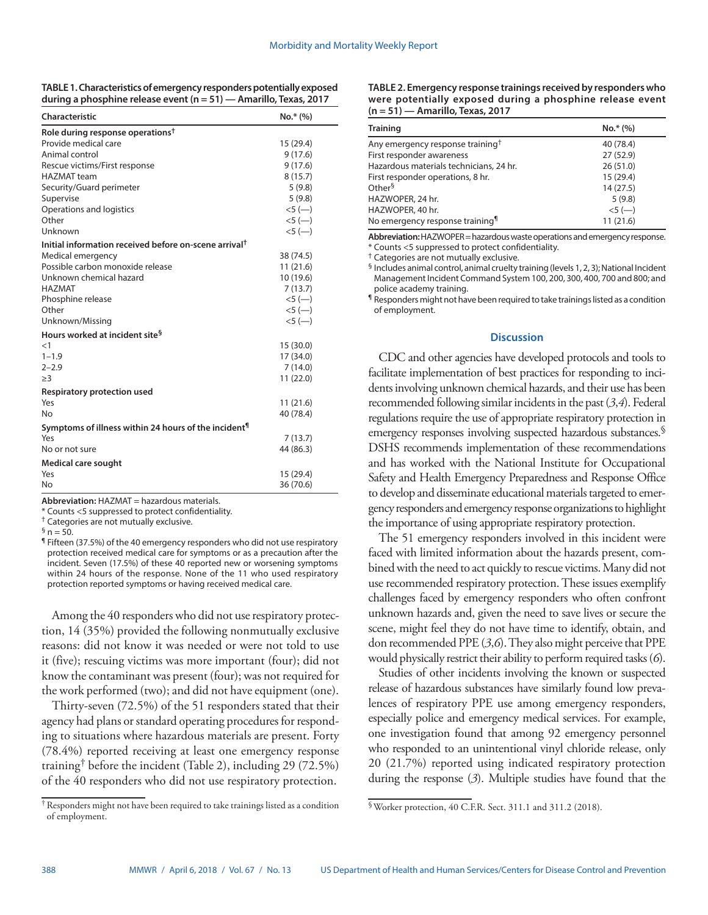| TABLE 1. Characteristics of emergency responders potentially exposed |  |
|----------------------------------------------------------------------|--|
| during a phosphine release event (n = 51) — Amarillo, Texas, 2017    |  |

| Characteristic                                                    | $No.*$ (%) |  |
|-------------------------------------------------------------------|------------|--|
| Role during response operations <sup>†</sup>                      |            |  |
| Provide medical care                                              | 15 (29.4)  |  |
| Animal control                                                    | 9(17.6)    |  |
| Rescue victims/First response                                     | 9(17.6)    |  |
| <b>HAZMAT</b> team                                                | 8(15.7)    |  |
| Security/Guard perimeter                                          | 5(9.8)     |  |
| Supervise                                                         | 5(9.8)     |  |
| Operations and logistics                                          |            |  |
| Other                                                             | $<5$ (-)   |  |
| Unknown                                                           | $<5$ (-)   |  |
| Initial information received before on-scene arrival <sup>†</sup> |            |  |
| Medical emergency                                                 | 38 (74.5)  |  |
| Possible carbon monoxide release                                  | 11(21.6)   |  |
| Unknown chemical hazard                                           | 10 (19.6)  |  |
| <b>HAZMAT</b>                                                     | 7(13.7)    |  |
| Phosphine release                                                 | $<5$ (--)  |  |
| Other                                                             | $<5$ (-)   |  |
| Unknown/Missing                                                   | $<5$ (-)   |  |
| Hours worked at incident site <sup>§</sup>                        |            |  |
| $\leq$ 1                                                          | 15 (30.0)  |  |
| $1 - 1.9$                                                         | 17 (34.0)  |  |
| $2 - 2.9$                                                         | 7(14.0)    |  |
| >3                                                                | 11 (22.0)  |  |
| Respiratory protection used                                       |            |  |
| Yes                                                               | 11 (21.6)  |  |
| No                                                                | 40 (78.4)  |  |
| Symptoms of illness within 24 hours of the incident <sup>¶</sup>  |            |  |
| Yes                                                               | 7(13.7)    |  |
| No or not sure                                                    | 44 (86.3)  |  |
| <b>Medical care sought</b>                                        |            |  |
| Yes                                                               | 15 (29.4)  |  |
| Nο                                                                | 36 (70.6)  |  |

**Abbreviation:** HAZMAT = hazardous materials.

\* Counts <5 suppressed to protect confidentiality.

† Categories are not mutually exclusive.

 $\frac{6}{9}$  n = 50.

¶ Fifteen (37.5%) of the 40 emergency responders who did not use respiratory protection received medical care for symptoms or as a precaution after the incident. Seven (17.5%) of these 40 reported new or worsening symptoms within 24 hours of the response. None of the 11 who used respiratory protection reported symptoms or having received medical care.

Among the 40 responders who did not use respiratory protection, 14 (35%) provided the following nonmutually exclusive reasons: did not know it was needed or were not told to use it (five); rescuing victims was more important (four); did not know the contaminant was present (four); was not required for the work performed (two); and did not have equipment (one).

Thirty-seven (72.5%) of the 51 responders stated that their agency had plans or standard operating procedures for responding to situations where hazardous materials are present. Forty (78.4%) reported receiving at least one emergency response training<sup>†</sup> before the incident (Table 2), including 29 (72.5%) of the 40 responders who did not use respiratory protection.

| TABLE 2. Emergency response trainings received by responders who |
|------------------------------------------------------------------|
| were potentially exposed during a phosphine release event        |
| $(n = 51)$ — Amarillo, Texas, 2017                               |

| <b>Training</b>                              | $No.*$ (%) |
|----------------------------------------------|------------|
| Any emergency response training <sup>†</sup> | 40 (78.4)  |
| First responder awareness                    | 27 (52.9)  |
| Hazardous materials technicians, 24 hr.      | 26(51.0)   |
| First responder operations, 8 hr.            | 15 (29.4)  |
| Other <sup>§</sup>                           | 14(27.5)   |
| HAZWOPER, 24 hr.                             | 5(9.8)     |
| HAZWOPER, 40 hr.                             | $<5$ (-)   |
| No emergency response training <sup>1</sup>  | 11(21.6)   |

**Abbreviation:** HAZWOPER = hazardous waste operations and emergency response. \* Counts <5 suppressed to protect confidentiality.

† Categories are not mutually exclusive.

§ Includes animal control, animal cruelty training (levels 1, 2, 3); National Incident Management Incident Command System 100, 200, 300, 400, 700 and 800; and police academy training.

¶ Responders might not have been required to take trainings listed as a condition of employment.

#### **Discussion**

CDC and other agencies have developed protocols and tools to facilitate implementation of best practices for responding to incidents involving unknown chemical hazards, and their use has been recommended following similar incidents in the past (*3*,*4*). Federal regulations require the use of appropriate respiratory protection in emergency responses involving suspected hazardous substances.<sup>§</sup> DSHS recommends implementation of these recommendations and has worked with the National Institute for Occupational Safety and Health Emergency Preparedness and Response Office to develop and disseminate educational materials targeted to emergency responders and emergency response organizations to highlight the importance of using appropriate respiratory protection.

The 51 emergency responders involved in this incident were faced with limited information about the hazards present, combined with the need to act quickly to rescue victims. Many did not use recommended respiratory protection. These issues exemplify challenges faced by emergency responders who often confront unknown hazards and, given the need to save lives or secure the scene, might feel they do not have time to identify, obtain, and don recommended PPE (*3*,*6*). They also might perceive that PPE would physically restrict their ability to perform required tasks (*6*).

Studies of other incidents involving the known or suspected release of hazardous substances have similarly found low prevalences of respiratory PPE use among emergency responders, especially police and emergency medical services. For example, one investigation found that among 92 emergency personnel who responded to an unintentional vinyl chloride release, only 20 (21.7%) reported using indicated respiratory protection during the response (*3*). Multiple studies have found that the

<sup>†</sup>Responders might not have been required to take trainings listed as a condition of employment.

<sup>§</sup>Worker protection, 40 C.F.R. Sect. 311.1 and 311.2 (2018).